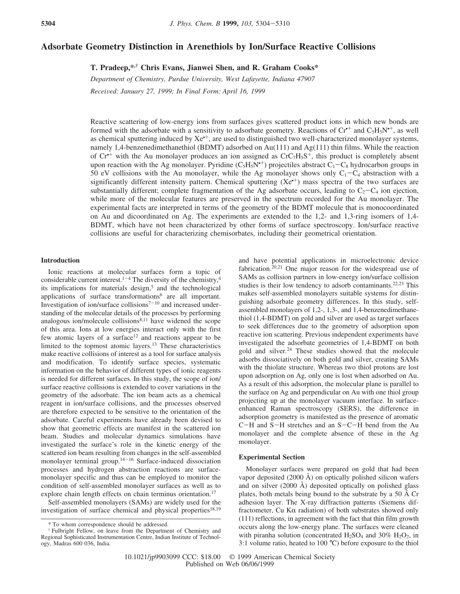# **Adsorbate Geometry Distinction in Arenethiols by Ion/Surface Reactive Collisions**

**T. Pradeep,\*,† Chris Evans, Jianwei Shen, and R. Graham Cooks\***

*Department of Chemistry, Purdue Uni*V*ersity, West Lafayette, Indiana 47907 Recei*V*ed: January 27, 1999; In Final Form: April 16, 1999*

Reactive scattering of low-energy ions from surfaces gives scattered product ions in which new bonds are formed with the adsorbate with a sensitivity to adsorbate geometry. Reactions of  $Cr^{*+}$  and  $C_5H_5N^{*+}$ , as well as chemical sputtering induced by  $Xe^{++}$ , are used to distinguished two well-characterized monolayer systems, namely 1,4-benzenedimethanethiol (BDMT) adsorbed on Au(111) and Ag(111) thin films. While the reaction of  $Cr^{+}$  with the Au monolayer produces an ion assigned as  $CrC<sub>7</sub>H<sub>5</sub>S<sup>+</sup>$ , this product is completely absent upon reaction with the Ag monolayer. Pyridine  $(C_5H_5N^{*+})$  projectiles abstract  $C_1-C_8$  hydrocarbon groups in 50 eV collisions with the Au monolayer, while the Ag monolayer shows only  $C_1-C_4$  abstraction with a significantly different intensity pattern. Chemical sputtering  $(Xe^{+})$  mass spectra of the two surfaces are substantially different; complete fragmentation of the Ag adsorbate occurs, leading to  $C_2 - C_4$  ion ejection, while more of the molecular features are preserved in the spectrum recorded for the Au monolayer. The experimental facts are interpreted in terms of the geometry of the BDMT molecule that is monocoordinated on Au and dicoordinated on Ag. The experiments are extended to the 1,2- and 1,3-ring isomers of 1,4- BDMT, which have not been characterized by other forms of surface spectroscopy. Ion/surface reactive collisions are useful for characterizing chemisorbates, including their geometrical orientation.

# **Introduction**

Ionic reactions at molecular surfaces form a topic of considerable current interest.<sup>1-4</sup> The diversity of the chemistry,<sup>4</sup> its implications for materials design,<sup>5</sup> and the technological applications of surface transformations<sup>6</sup> are all important. Investigation of ion/surface collisions<sup> $7-10$ </sup> and increased understanding of the molecular details of the processes by performing analogous ion/molecule collisions $8,11$  have widened the scope of this area. Ions at low energies interact only with the first few atomic layers of a surface<sup>12</sup> and reactions appear to be limited to the topmost atomic layers.<sup>13</sup> These characteristics make reactive collisions of interest as a tool for surface analysis and modification. To identify surface species, systematic information on the behavior of different types of ionic reagents is needed for different surfaces. In this study, the scope of ion/ surface reactive collisions is extended to cover variations in the geometry of the adsorbate. The ion beam acts as a chemical reagent in ion/surface collisions, and the processes observed are therefore expected to be sensitive to the orientation of the adsorbate. Careful experiments have already been devised to show that geometric effects are manifest in the scattered ion beam. Studies and molecular dynamics simulations have investigated the surface's role in the kinetic energy of the scattered ion beam resulting from changes in the self-assembled monolayer terminal group.<sup>14</sup>-<sup>16</sup> Surface-induced dissociation processes and hydrogen abstraction reactions are surfacemonolayer specific and thus can be employed to monitor the condition of self-assembled monolayer surfaces as well as to explore chain length effects on chain terminus orientation.<sup>17</sup>

Self-assembled monolayers (SAMs) are widely used for the investigation of surface chemical and physical properties $18,19$ 

and have potential applications in microelectronic device fabrication.<sup>20,21</sup> One major reason for the widespread use of SAMs as collision partners in low-energy ion/surface collision studies is their low tendency to adsorb contaminants.<sup>22,23</sup> This makes self-assembled monolayers suitable systems for distinguishing adsorbate geometry differences. In this study, selfassembled monolayers of 1,2-, 1,3-, and 1,4-benzenedimethanethiol (1,4-BDMT) on gold and silver are used as target surfaces to seek differences due to the geometry of adsorption upon reactive ion scattering. Previous independent experiments have investigated the adsorbate geometries of 1,4-BDMT on both gold and silver.<sup>24</sup> These studies showed that the molecule adsorbs dissociatively on both gold and silver, creating SAMs with the thiolate structure. Whereas two thiol protons are lost upon adsorption on Ag, only one is lost when adsorbed on Au. As a result of this adsorption, the molecular plane is parallel to the surface on Ag and perpendicular on Au with one thiol group projecting up at the monolayer vacuum interface. In surfaceenhanced Raman spectroscopy (SERS), the difference in adsorption geometry is manifested as the presence of aromatic C-H and S-H stretches and an S-C-H bend from the Au monolayer and the complete absence of these in the Ag monolayer.

## **Experimental Section**

Monolayer surfaces were prepared on gold that had been vapor deposited (2000 Å) on optically polished silicon wafers and on silver (2000 Å) deposited optically on polished glass plates, both metals being bound to the substrate by a 50 Å Cr adhesion layer. The X-ray diffraction patterns (Siemens diffractometer, Cu K $\alpha$  radiation) of both substrates showed only (111) reflections, in agreement with the fact that thin film growth occurs along the low-energy plane. The surfaces were cleaned with piranha solution (concentrated  $H_2SO_4$  and 30%  $H_2O_2$ , in 3:1 volume ratio, heated to 100 °C) before exposure to the thiol

<sup>\*</sup> To whom correspondence should be addressed.

<sup>†</sup> Fulbright Fellow, on leave from the Department of Chemistry and Regional Sophisticated Instrumentation Centre, Indian Institute of Technology, Madras 600 036, India.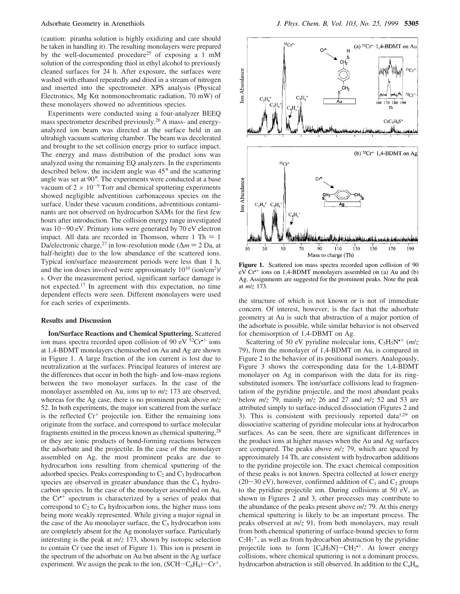(caution: piranha solution is highly oxidizing and care should be taken in handling it). The resulting monolayers were prepared by the well-documented procedure<sup>25</sup> of exposing a 1 mM solution of the corresponding thiol in ethyl alcohol to previously cleaned surfaces for 24 h. After exposure, the surfaces were washed with ethanol repeatedly and dried in a stream of nitrogen and inserted into the spectrometer. XPS analysis (Physical Electronics, Mg K $\alpha$  nonmonochromatic radiation, 70 mW) of these monolayers showed no adventitious species.

Experiments were conducted using a four-analyzer BEEQ mass spectrometer described previously.<sup>26</sup> A mass- and energyanalyzed ion beam was directed at the surface held in an ultrahigh vacuum scattering chamber. The beam was decelerated and brought to the set collision energy prior to surface impact. The energy and mass distribution of the product ions was analyzed using the remaining EQ analyzers. In the experiments described below, the incident angle was 45° and the scattering angle was set at 90°. The experiments were conducted at a base vacuum of  $2 \times 10^{-9}$  Torr and chemical sputtering experiments showed negligible adventitious carbonaceous species on the surface. Under these vacuum conditions, adventitious contaminants are not observed on hydrocarbon SAMs for the first few hours after introduction. The collision energy range investigated was 10-90 eV. Primary ions were generated by 70 eV electron impact. All data are recorded in Thomson, where  $1 \text{ Th} = 1$ Da/electronic charge,<sup>27</sup> in low-resolution mode ( $\Delta m = 2$  Da, at half-height) due to the low abundance of the scattered ions. Typical ion/surface measurement periods were less than 1 h, and the ion doses involved were approximately  $10^{10}$  (ion/cm<sup>2</sup>)/ s. Over the measurement period, significant surface damage is not expected.<sup>17</sup> In agreement with this expectation, no time dependent effects were seen. Different monolayers were used for each series of experiments.

## **Results and Discussion**

**Ion/Surface Reactions and Chemical Sputtering.** Scattered ion mass spectra recorded upon collision of 90 eV  ${}^{52}Cr^{+}$  ions at 1,4-BDMT monolayers chemisorbed on Au and Ag are shown in Figure 1. A large fraction of the ion current is lost due to neutralization at the surfaces. Principal features of interest are the differences that occur in both the high- and low-mass regions between the two monolayer surfaces. In the case of the monolayer assembled on Au, ions up to  $m/z$  173 are observed, whereas for the Ag case, there is no prominent peak above *m*/*z* 52. In both experiments, the major ion scattered from the surface is the reflected  $Cr^+$  projectile ion. Either the remaining ions originate from the surface, and correspond to surface molecular fragments emitted in the process known as chemical sputtering,<sup>28</sup> or they are ionic products of bond-forming reactions between the adsorbate and the projectile. In the case of the monolayer assembled on Ag, the most prominent peaks are due to hydrocarbon ions resulting from chemical sputtering of the adsorbed species. Peaks corresponding to  $C_2$  and  $C_3$  hydrocarbon species are observed in greater abundance than the  $C_4$  hydrocarbon species. In the case of the monolayer assembled on Au, the  $Cr<sup>+</sup>$  spectrum is characterized by a series of peaks that correspond to  $C_2$  to  $C_8$  hydrocarbon ions, the higher mass ions being more weakly represented. While giving a major signal in the case of the Au monolayer surface, the  $C_5$  hydrocarbon ions are completely absent for the Ag monolayer surface. Particularly interesting is the peak at *m*/*z* 173, shown by isotopic selection to contain Cr (see the inset of Figure 1). This ion is present in the spectrum of the adsorbate on Au but absent in the Ag surface experiment. We assign the peak to the ion,  $(SCH-C<sub>6</sub>H<sub>4</sub>)-Cr<sup>+</sup>$ ,



Figure 1. Scattered ion mass spectra recorded upon collision of 90 eV Cr•+ ions on 1,4-BDMT monolayers assembled on (a) Au and (b) Ag. Assignments are suggested for the prominent peaks. Note the peak at *m*/*z* 173.

the structure of which is not known or is not of immediate concern. Of interest, however, is the fact that the adsorbate geometry at Au is such that abstraction of a major portion of the adsorbate is possible, while similar behavior is not observed for chemisorption of 1,4-DBMT on Ag.

Scattering of 50 eV pyridine molecular ions,  $C_5H_5N^*$ <sup>+</sup> ( $m/z$ ) 79), from the monolayer of 1,4-BDMT on Au, is compared in Figure 2 to the behavior of its positional isomers. Analogously, Figure 3 shows the corresponding data for the 1,4-BDMT monolayer on Ag in comparison with the data for its ringsubstituted isomers. The ion/surface collisions lead to fragmentation of the pyridine projectile, and the most abundant peaks below *m*/*z* 79, mainly *m*/*z* 26 and 27 and *m*/*z* 52 and 53 are attributed simply to surface-induced dissociation (Figures 2 and 3). This is consistent with previously reported  $data<sup>1,29</sup>$  on dissociative scattering of pyridine molecular ions at hydrocarbon surfaces. As can be seen, there are significant differences in the product ions at higher masses when the Au and Ag surfaces are compared. The peaks above *m*/*z* 79, which are spaced by approximately 14 Th, are consistent with hydrocarbon additions to the pyridine projectile ion. The exact chemical composition of these peaks is not known. Spectra collected at lower energy  $(20-30 \text{ eV})$ , however, confirmed addition of  $C_1$  and  $C_2$  groups to the pyridine projectile ion. During collisions at 50 eV, as shown in Figures 2 and 3, other processes may contribute to the abundance of the peaks present above *m*/*z* 79. At this energy chemical sputtering is likely to be an important process. The peaks observed at *m*/*z* 91, from both monolayers, may result from both chemical sputtering of surface-bound species to form  $C_7H_7^+$ , as well as from hydrocarbon abstraction by the pyridine projectile ions to form  $[C_6H_5N]$  -  $CH_2$ <sup>++</sup>. At lower energy collisions, where chemical sputtering is not a dominant process, hydrocarbon abstraction is still observed. In addition to the C*n*H*<sup>m</sup>*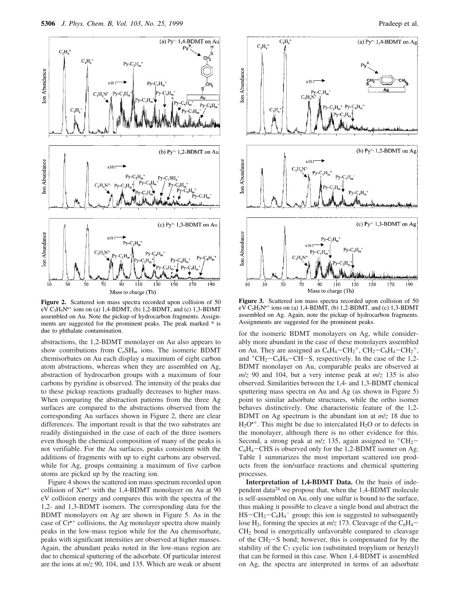

**Figure 2.** Scattered ion mass spectra recorded upon collision of 50 eV  $C_5H_5N^{*+}$  ions on (a) 1,4-BDMT, (b) 1,2-BDMT, and (c) 1,3-BDMT assembled on Au. Note the pickup of hydrocarbon fragments. Assignments are suggested for the prominent peaks. The peak marked \* is due to phthalate contamination.

Mass to charge (Th)

abstractions, the 1,2-BDMT monolayer on Au also appears to show contributions from C*n*SH*<sup>m</sup>* ions. The isomeric BDMT chemisorbates on Au each display a maximum of eight carbon atom abstractions, whereas when they are assembled on Ag, abstraction of hydrocarbon groups with a maximum of four carbons by pyridine is observed. The intensity of the peaks due to these pickup reactions gradually decreases to higher mass. When comparing the abstraction patterns from the three Ag surfaces are compared to the abstractions observed from the corresponding Au surfaces shown in Figure 2, there are clear differences. The important result is that the two substrates are readily distinguished in the case of each of the three isomers even though the chemical composition of many of the peaks is not verifiable. For the Au surfaces, peaks consistent with the additions of fragments with up to eight carbons are observed, while for Ag, groups containing a maximum of five carbon atoms are picked up by the reacting ion.

Figure 4 shows the scattered ion mass spectrum recorded upon collision of  $Xe^{+}$  with the 1,4-BDMT monolayer on Au at 90 eV collision energy and compares this with the spectra of the 1,2- and 1,3-BDMT isomers. The corresponding data for the BDMT monolayers on Ag are shown in Figure 5. As in the case of Cr•+ collisions, the Ag monolayer spectra show mainly peaks in the low-mass region while for the Au chemisorbate, peaks with significant intensities are observed at higher masses. Again, the abundant peaks noted in the low-mass region are due to chemical sputtering of the adsorbate. Of particular interest are the ions at *m*/*z* 90, 104, and 135. Which are weak or absent



**Figure 3.** Scattered ion mass spectra recorded upon collision of 50 eV  $C_5H_5N^{*+}$  ions on (a) 1,4-BDMT, (b) 1,2-BDMT, and (c) 1,3-BDMT assembled on Ag. Again, note the pickup of hydrocarbon fragments. Assignments are suggested for the prominent peaks.

for the isomeric BDMT monolayers on Ag, while considerably more abundant in the case of these monolayers assembled on Au. They are assigned as  $C_6H_4-CH_2^+$ ,  $CH_2-C_6H_4-CH_2^+$ , and  $+CH_2-C_6H_4-CH-S$ , respectively. In the case of the 1,2-BDMT monolayer on Au, comparable peaks are observed at *m*/*z* 90 and 104, but a very intense peak at *m*/*z* 135 is also observed. Similarities between the 1,4- and 1,3-BDMT chemical sputtering mass spectra on Au and Ag (as shown in Figure 5) point to similar adsorbate structures, while the ortho isomer behaves distinctively. One characteristic feature of the 1,2- BDMT on Ag spectrum is the abundant ion at *m*/*z* 18 due to  $H<sub>2</sub>O<sup>+</sup>$ . This might be due to intercalated  $H<sub>2</sub>O$  or to defects in the monolayer, although there is no other evidence for this. Second, a strong peak at  $m/z$  135, again assigned to  $+CH_2 C_6H_4$ –CHS is observed only for the 1,2-BDMT isomer on Ag. Table 1 summarizes the most important scattered ion products from the ion/surface reactions and chemical sputtering processes.

**Interpretation of 1,4-BDMT Data.** On the basis of independent data<sup>24</sup> we propose that, when the 1,4-BDMT molecule is self-assembled on Au, only one sulfur is bound to the surface, thus making it possible to cleave a single bond and abstract the  $HS-CH_2-C_6H_4$ <sup>-</sup> group; this ion is suggested to subsequently lose H<sub>2</sub>, forming the species at  $m/z$  173. Cleavage of the C<sub>6</sub>H<sub>4</sub>-CH<sup>2</sup> bond is energetically unfavorable compared to cleavage of the  $CH_2-S$  bond; however, this is compensated for by the stability of the  $C_7$  cyclic ion (substituted tropylium or benzyl) that can be formed in this case. When 1,4-BDMT is assembled on Ag, the spectra are interpreted in terms of an adsorbate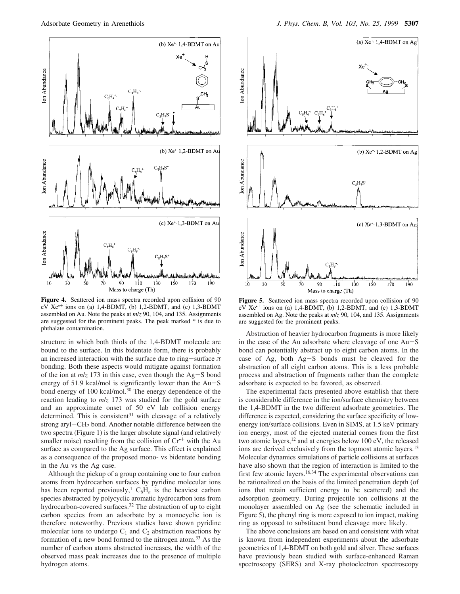

**Figure 4.** Scattered ion mass spectra recorded upon collision of 90 eV  $Xe^{+}$  ions on (a) 1,4-BDMT, (b) 1,2-BDMT, and (c) 1,3-BDMT assembled on Au. Note the peaks at *m*/*z* 90, 104, and 135. Assignments are suggested for the prominent peaks. The peak marked \* is due to phthalate contamination.

structure in which both thiols of the 1,4-BDMT molecule are bound to the surface. In this bidentate form, there is probably an increased interaction with the surface due to ring-surface  $\pi$ bonding. Both these aspects would mitigate against formation of the ion at *m*/*z* 173 in this case, even though the Ag-S bond energy of 51.9 kcal/mol is significantly lower than the Au-S bond energy of 100 kcal/mol.<sup>30</sup> The energy dependence of the reaction leading to *m*/*z* 173 was studied for the gold surface and an approximate onset of 50 eV lab collision energy determined. This is consistent $31$  with cleavage of a relatively strong aryl-CH<sup>2</sup> bond. Another notable difference between the two spectra (Figure 1) is the larger absolute signal (and relatively smaller noise) resulting from the collision of  $Cr<sup>+</sup>$  with the Au surface as compared to the Ag surface. This effect is explained as a consequence of the proposed mono- vs bidentate bonding in the Au vs the Ag case.

Although the pickup of a group containing one to four carbon atoms from hydrocarbon surfaces by pyridine molecular ions has been reported previously,<sup>1</sup>  $C_6H_n$  is the heaviest carbon species abstracted by polycyclic aromatic hydrocarbon ions from hydrocarbon-covered surfaces.<sup>32</sup> The abstraction of up to eight carbon species from an adsorbate by a monocyclic ion is therefore noteworthy. Previous studies have shown pyridine molecular ions to undergo  $C_1$  and  $C_2$  abstraction reactions by formation of a new bond formed to the nitrogen atom.<sup>33</sup> As the number of carbon atoms abstracted increases, the width of the observed mass peak increases due to the presence of multiple hydrogen atoms.



**Figure 5.** Scattered ion mass spectra recorded upon collision of 90 eV Xe•+ ions on (a) 1,4-BDMT, (b) 1,2-BDMT, and (c) 1,3-BDMT assembled on Ag. Note the peaks at *m*/*z* 90, 104, and 135. Assignments are suggested for the prominent peaks.

Abstraction of heavier hydrocarbon fragments is more likely in the case of the Au adsorbate where cleavage of one Au-S bond can potentially abstract up to eight carbon atoms. In the case of Ag, both Ag-S bonds must be cleaved for the abstraction of all eight carbon atoms. This is a less probable process and abstraction of fragments rather than the complete adsorbate is expected to be favored, as observed.

The experimental facts presented above establish that there is considerable difference in the ion/surface chemistry between the 1,4-BDMT in the two different adsorbate geometries. The difference is expected, considering the surface specificity of lowenergy ion/surface collisions. Even in SIMS, at 1.5 keV primary ion energy, most of the ejected material comes from the first two atomic layers,<sup>12</sup> and at energies below 100 eV, the released ions are derived exclusively from the topmost atomic layers.<sup>13</sup> Molecular dynamics simulations of particle collisions at surfaces have also shown that the region of interaction is limited to the first few atomic layers.<sup>16,34</sup> The experimental observations can be rationalized on the basis of the limited penetration depth (of ions that retain sufficient energy to be scattered) and the adsorption geometry. During projectile ion collisions at the monolayer assembled on Ag (see the schematic included in Figure 5), the phenyl ring is more exposed to ion impact, making ring as opposed to substituent bond cleavage more likely.

The above conclusions are based on and consistent with what is known from independent experiments about the adsorbate geometries of 1,4-BDMT on both gold and silver. These surfaces have previously been studied with surface-enhanced Raman spectroscopy (SERS) and X-ray photoelectron spectroscopy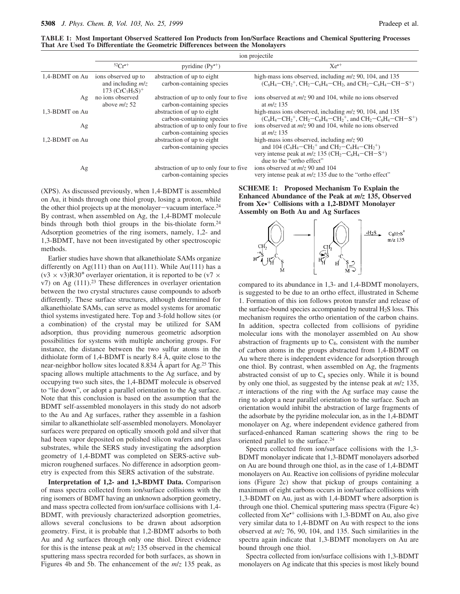**TABLE 1: Most Important Observed Scattered Ion Products from Ion/Surface Reactions and Chemical Sputtering Processes That Are Used To Differentiate the Geometric Differences between the Monolayers**

|                | ion projectile                                                    |                                                                     |                                                                                                                                                                                                                                                     |
|----------------|-------------------------------------------------------------------|---------------------------------------------------------------------|-----------------------------------------------------------------------------------------------------------------------------------------------------------------------------------------------------------------------------------------------------|
|                | $52Cr^{+}$                                                        | pyridine $(Pv^+)$                                                   | $Xe^{\bullet+}$                                                                                                                                                                                                                                     |
| 1,4-BDMT on Au | ions observed up to<br>and including $m/z$<br>173 $(CrC_7H_5S)^+$ | abstraction of up to eight.<br>carbon-containing species            | high-mass ions observed, including $m/z$ 90, 104, and 135<br>$(C_6H_4-CH_2^+$ , $CH_2-C_6H_4-CH_2$ , and $CH_2-C_6H_4-CH-S^+$ )                                                                                                                     |
| Ag             | no ions observed<br>above $m/z$ 52                                | abstraction of up to only four to five<br>carbon-containing species | ions observed at $m/z$ 90 and 104, while no ions observed<br>at $m/z$ 135                                                                                                                                                                           |
| 1,3-BDMT on Au |                                                                   | abstraction of up to eight.<br>carbon-containing species            | high-mass ions observed, including $m/z$ 90, 104, and 135<br>$(C_6H_4-CH_2^+$ , $CH_2-C_6H_4-CH_2^+$ , and $CH_2-C_6H_4-CH-S^+$ )                                                                                                                   |
| Ag             |                                                                   | abstraction of up to only four to five<br>carbon-containing species | ions observed at $m/z$ 90 and 104, while no ions observed<br>at $m/z$ 135                                                                                                                                                                           |
| 1,2-BDMT on Au |                                                                   | abstraction of up to eight.<br>carbon-containing species            | high-mass ions observed, including $m/z$ 90<br>and 104 ( $C_6H_4$ – $CH_2^+$ and $CH_2$ – $C_6H_4$ – $CH_2^+$ )<br>very intense peak at $m/z$ 135 (CH <sub>2</sub> -C <sub>6</sub> H <sub>4</sub> -CH-S <sup>+</sup> )<br>due to the "ortho effect" |
| Ag             |                                                                   | abstraction of up to only four to five<br>carbon-containing species | ions observed at $m/z$ 90 and 104<br>very intense peak at $m/z$ 135 due to the "ortho effect"                                                                                                                                                       |

(XPS). As discussed previously, when 1,4-BDMT is assembled on Au, it binds through one thiol group, losing a proton, while the other thiol projects up at the monolayer-vacuum interface.<sup>24</sup> By contrast, when assembled on Ag, the 1,4-BDMT molecule binds through both thiol groups in the bis-thiolate form.<sup>24</sup> Adsorption geometries of the ring isomers, namely, 1,2- and 1,3-BDMT, have not been investigated by other spectroscopic methods.

Earlier studies have shown that alkanethiolate SAMs organize differently on  $Ag(111)$  than on Au(111). While Au(111) has a  $(v3 \times v3)R30^{\circ}$  overlayer orientation, it is reported to be  $(v7 \times v3)$  $v7$ ) on Ag (111).<sup>23</sup> These differences in overlayer orientation between the two crystal structures cause compounds to adsorb differently. These surface structures, although determined for alkanethiolate SAMs, can serve as model systems for aromatic thiol systems investigated here. Top and 3-fold hollow sites (or a combination) of the crystal may be utilized for SAM adsorption, thus providing numerous geometric adsorption possibilities for systems with multiple anchoring groups. For instance, the distance between the two sulfur atoms in the dithiolate form of 1,4-BDMT is nearly 8.4 Å, quite close to the near-neighbor hollow sites located 8.834 Å apart for Ag.<sup>25</sup> This spacing allows multiple attachments to the Ag surface, and by occupying two such sites, the 1,4-BDMT molecule is observed to "lie down", or adopt a parallel orientation to the Ag surface. Note that this conclusion is based on the assumption that the BDMT self-assembled monolayers in this study do not adsorb to the Au and Ag surfaces, rather they assemble in a fashion similar to alkanethiolate self-assembled monolayers. Monolayer surfaces were prepared on optically smooth gold and silver that had been vapor deposited on polished silicon wafers and glass substrates, while the SERS study investigating the adsorption geometry of 1,4-BDMT was completed on SERS-active submicron roughened surfaces. No difference in adsorption geometry is expected from this SERS activation of the substrate.

**Interpretation of 1,2- and 1,3-BDMT Data.** Comparison of mass spectra collected from ion/surface collisions with the ring isomers of BDMT having an unknown adsorption geometry, and mass spectra collected from ion/surface collisions with 1,4- BDMT, with previously characterized adsorption geometries, allows several conclusions to be drawn about adsorption geometry. First, it is probable that 1,2-BDMT adsorbs to both Au and Ag surfaces through only one thiol. Direct evidence for this is the intense peak at *m*/*z* 135 observed in the chemical sputtering mass spectra recorded for both surfaces, as shown in Figures 4b and 5b. The enhancement of the *m*/*z* 135 peak, as **SCHEME 1: Proposed Mechanism To Explain the Enhanced Abundance of the Peak at** *m***/***z* **135, Observed from Xe**• <sup>+</sup> **Collisions with a 1,2-BDMT Monolayer Assembly on Both Au and Ag Surfaces**



compared to its abundance in 1,3- and 1,4-BDMT monolayers, is suggested to be due to an ortho effect, illustrated in Scheme 1. Formation of this ion follows proton transfer and release of the surface-bound species accompanied by neutral  $H_2S$  loss. This mechanism requires the ortho orientation of the carbon chains. In addition, spectra collected from collisions of pyridine molecular ions with the monolayer assembled on Au show abstraction of fragments up to  $C_8$ , consistent with the number of carbon atoms in the groups abstracted from 1,4-BDMT on Au where there is independent evidence for adsorption through one thiol. By contrast, when assembled on Ag, the fragments abstracted consist of up to  $C_4$  species only. While it is bound by only one thiol, as suggested by the intense peak at *m*/*z* 135,  $\pi$  interactions of the ring with the Ag surface may cause the ring to adopt a near parallel orientation to the surface. Such an orientation would inhibit the abstraction of large fragments of the adsorbate by the pyridine molecular ion, as in the 1,4-BDMT monolayer on Ag, where independent evidence gathered from surfaced-enhanced Raman scattering shows the ring to be oriented parallel to the surface.<sup>24</sup>

Spectra collected from ion/surface collisions with the 1,3- BDMT monolayer indicate that 1,3-BDMT monolayers adsorbed on Au are bound through one thiol, as in the case of 1,4-BDMT monolayers on Au. Reactive ion collisions of pyridine molecular ions (Figure 2c) show that pickup of groups containing a maximum of eight carbons occurs in ion/surface collisions with 1,3-BDMT on Au, just as with 1,4-BDMT where adsorption is through one thiol. Chemical sputtering mass spectra (Figure 4c) collected from  $Xe^{+}$  collisions with 1,3-BDMT on Au, also give very similar data to 1,4-BDMT on Au with respect to the ions observed at *m*/*z* 76, 90, 104, and 135. Such similarities in the spectra again indicate that 1,3-BDMT monolayers on Au are bound through one thiol.

Spectra collected from ion/surface collisions with 1,3-BDMT monolayers on Ag indicate that this species is most likely bound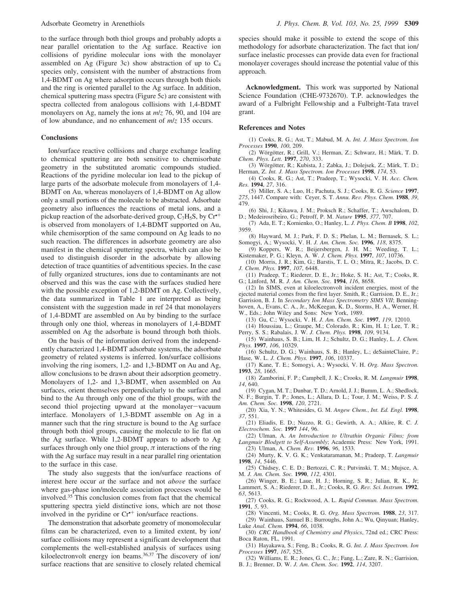to the surface through both thiol groups and probably adopts a near parallel orientation to the Ag surface. Reactive ion collisions of pyridine molecular ions with the monolayer assembled on Ag (Figure 3c) show abstraction of up to  $C_4$ species only, consistent with the number of abstractions from 1,4-BDMT on Ag where adsorption occurs through both thiols and the ring is oriented parallel to the Ag surface. In addition, chemical sputtering mass spectra (Figure 5c) are consistent with spectra collected from analogous collisions with 1,4-BDMT monolayers on Ag, namely the ions at *m*/*z* 76, 90, and 104 are of low abundance, and no enhancement of *m*/*z* 135 occurs.

### **Conclusions**

Ion/surface reactive collisions and charge exchange leading to chemical sputtering are both sensitive to chemisorbate geometry in the substituted aromatic compounds studied. Reactions of the pyridine molecular ion lead to the pickup of large parts of the adsorbate molecule from monolayers of 1,4- BDMT on Au, whereas monolayers of 1,4-BDMT on Ag allow only a small portions of the molecule to be abstracted. Adsorbate geometry also influences the reactions of metal ions, and a pickup reaction of the adsorbate-derived group,  $C_7H_5S$ , by  $Cr^+$ is observed from monolayers of 1,4-BDMT supported on Au, while chemisorption of the same compound on Ag leads to no such reaction. The differences in adsorbate geometry are also manifest in the chemical sputtering spectra, which can also be used to distinguish disorder in the adsorbate by allowing detection of trace quantities of adventitious species. In the case of fully organized structures, ions due to contaminants are not observed and this was the case with the surfaces studied here with the possible exception of 1,2-BDMT on Ag. Collectively, the data summarized in Table 1 are interpreted as being consistent with the suggestion made in ref 24 that monolayers of 1,4-BDMT are assembled on Au by binding to the surface through only one thiol, whereas in monolayers of 1,4-BDMT assembled on Ag the adsorbate is bound through both thiols.

On the basis of the information derived from the independently characterized 1,4-BDMT adsorbate systems, the adsorbate geometry of related systems is inferred. Ion/surface collisions involving the ring isomers, 1,2- and 1,3-BDMT on Au and Ag, allow conclusions to be drawn about their adsorption geometry. Monolayers of 1,2- and 1,3-BDMT, when assembled on Au surfaces, orient themselves perpendicularly to the surface and bind to the Au through only one of the thiol groups, with the second thiol projecting upward at the monolayer-vacuum interface. Monolayers of 1,3-BDMT assemble on Ag in a manner such that the ring structure is bound to the Ag surface through both thiol groups, causing the molecule to lie flat on the Ag surface. While 1,2-BDMT appears to adsorb to Ag surfaces through only one thiol group,  $\pi$  interactions of the ring with the Ag surface may result in a near parallel ring orientation to the surface in this case.

The study also suggests that the ion/surface reactions of interest here occur *at* the surface and not *above* the surface where gas-phase ion/molecule association processes would be involved.<sup>35</sup> This conclusion comes from fact that the chemical sputtering spectra yield distinctive ions, which are not those involved in the pyridine or  $Cr^{+}$  ion/surface reactions.

The demonstration that adsorbate geometry of monomolecular films can be characterized, even to a limited extent, by ion/ surface collisions may represent a significant development that complements the well-established analysis of surfaces using kiloelectronvolt energy ion beams. $36,37$  The discovery of ion/ surface reactions that are sensitive to closely related chemical

species should make it possible to extend the scope of this methodology for adsorbate characterization. The fact that ion/ surface inelastic processes can provide data even for fractional monolayer coverages should increase the potential value of this approach.

**Acknowledgment.** This work was supported by National Science Foundation (CHE-9732670). T.P. acknowledges the award of a Fulbright Fellowship and a Fulbright-Tata travel grant.

#### **References and Notes**

(1) Cooks, R. G.; Ast, T.; Mabud, M. A. *Int. J. Mass Spectrom. Ion Processes* **1990**, *100*, 209.

(2) Wörgötter, R.; Grill, V.; Herman, Z.; Schwarz, H.; Märk, T. D. *Chem. Phys. Lett.* **1997**, *270*, 333.

(3) Wörgötter, R.; Kubista, J.; Zabka, J.; Dolejsek, Z.; Märk, T. D.; Herman, Z. *Int. J. Mass Spectrom. Ion Processes* **1998**, *174*, 53.

(4) Cooks, R. G.; Ast, T.; Pradeep, T.; Wysocki, V. H. *Acc. Chem. Res.* **1994**, *27*, 316.

(5) Miller, S. A.; Luo, H.; Pachuta, S. J.; Cooks, R. G. *Science* **1997**, *275*, 1447. Compare with: Ceyer, S. T. *Annu. Re*V*. Phys. Chem.* **1988**, *39*, 479.

(6) Shi, J.; Kikawa, J. M.; Proksch R.; Schaffer, T.; Awschalom, D. D.; Medeirosribeiro, G.; Petroff, P. M. *Nature* **1995**, *377*, 707.

(7) Ada, E. T.; Kornienko, O.; Hanley, L. *J. Phys. Chem. B* **1998**, *102*, 3959.

(8) Hayward, M. J.; Park, F. D. S.; Phelan, L. M.; Bernasek, S. L.; Somogyi, A.; Wysocki, V. H. *J. Am. Chem. Soc.* **1996**, *118*, 8375.

(9) Koppers, W. R.; Beijersbergen, J. H. M.; Weeding, T. L.; Kistemaker, P. G.; Kleyn, A. W. *J. Chem. Phys.* **1997**, *107*, 10736.

(10) Morris, J. R.; Kim, G.; Barstis, T. L. O.; Mitra, R.; Jacobs, D. C. *J. Chem. Phys.* **1997**, *107*, 6448.

(11) Pradeep, T.; Riederer, D. E., Jr.; Hoke, S. H.; Ast, T.; Cooks, R. G.; Linford, M. R. *J. Am. Chem. Soc.* **1994**, *116*, 8658.

(12) In SIMS, even at kiloelectronvolt incident energies, most of the ejected material comes from the first layer. Smith, R.; Garrision, D. E., Jr.; Garrision, B. J. In *Secondary Ion Mass Spectrometry SIMS VII*; Benninghoven, A., Evans, C. A., Jr., McKeegan, K. D., Storms, H. A., Werner, H. W., Eds.; John Wiley and Sons: New York, 1989.

(13) Gu, C.; Wysocki, V. H. *J. Am. Chem. Soc.* **1997**, *119*, 12010.

(14) Houssiau, L.; Graupe, M.; Colorado, R.; Kim, H. I.; Lee, T. R.; Perry, S. S.; Rabalais, J. W. *J. Chem. Phys.* **1998**, *109*, 9134.

(15) Wainhaus, S. B.; Lim, H. J.; Schultz, D. G.; Hanley, L. *J. Chem. Phys.* **1997**, *106*, 10329.

(16) Schultz, D. G.; Wainhaus, S. B.; Hanley, L.; deSainteClaire, P.; Hase, W. L. *J. Chem. Phys.* **1997**, *106*, 10337.

(17) Kane, T. E.; Somogyi, A.; Wysocki, V. H. *Org. Mass Spectron.* **1993**, *28*, 1665.

(18) Zamborini, F. P.; Campbell, J. K.; Crooks, R. M. *Langmuir* **1998**, *14*, 640.

(19) Cygan, M. T.; Dunbar, T. D.; Arnold, J. J.; Bumm, L. A.; Shedlock, N. F.; Burgin, T. P.; Jones, L.; Allara, D. L.; Tour, J. M.; Weiss, P. S. *J.*

*Am. Chem. Soc.* **1998**, *120*, 2721.

(20) Xia, Y. N.; Whitesides, G. M. *Angew Chem.*, *Int. Ed. Engl.* **1998**, *37*, 551.

(21) Eliadis, E. D.; Nuzzo, R. G.; Gewirth, A. A.; Alkire, R. C. *J. Electrochem. Soc.* **1997** *144*, 96.

(22) Ulman, A. *An Introduction to Ultrathin Organic Films; from Langmuir Blodgett to Self-Assembly*; Academic Press: New York, 1991. (23) Ulman, A. *Chem. Re*V*.* **1996**, *96*, 1533.

(24) Murty, K. V. G. K.; Venkataramanan, M.; Pradeep, T. *Langmuir* **1998**, *14*, 5446.

(25) Chidsey, C. E. D.; Bertozzi, C. R.; Putvinski, T. M.; Mujsce, A. M. *J. Am. Chem. Soc.* **1990**, *112*, 4301.

(26) Winger, B. E.; Laue, H. J.; Horning, S. R.; Julian, R. K., Jr; Lammert, S. A.; Riederer, D. E., Jr.; Cooks, R. G. *Re*V*. Sci. Instrum.* **1992**, *63*, 5613.

(27) Cooks, R. G.; Rockwood, A. L. *Rapid Commun. Mass Spectrom.* **1991**, *5*, 93.

(28) Vincenti, M.; Cooks, R. G. *Org. Mass Spectrom.* **1988**, *23*, 317. (29) Wainhaus, Samuel B.; Burroughs, John A.; Wu, Qinyuan; Hanley, Luke *Anal. Chem.* **1994**, *66*, 1038.

(30) *CRC Handbook of Chemistry and Physics*, 72nd ed.; CRC Press: Boca Raton, FL, 1991.

(31) Hayakawa, S.; Feng, B.; Cooks, R. G. *Int. J. Mass Spectrom. Ion Processes* **1997**, *167*, 525.

(32) Williams, E. R.; Jones, G. C., Jr.; Fang, L.; Zare, R. N.; Garrision, B. J.; Brenner, D. W. *J. Am. Chem. Soc.* **1992**, *114*, 3207.